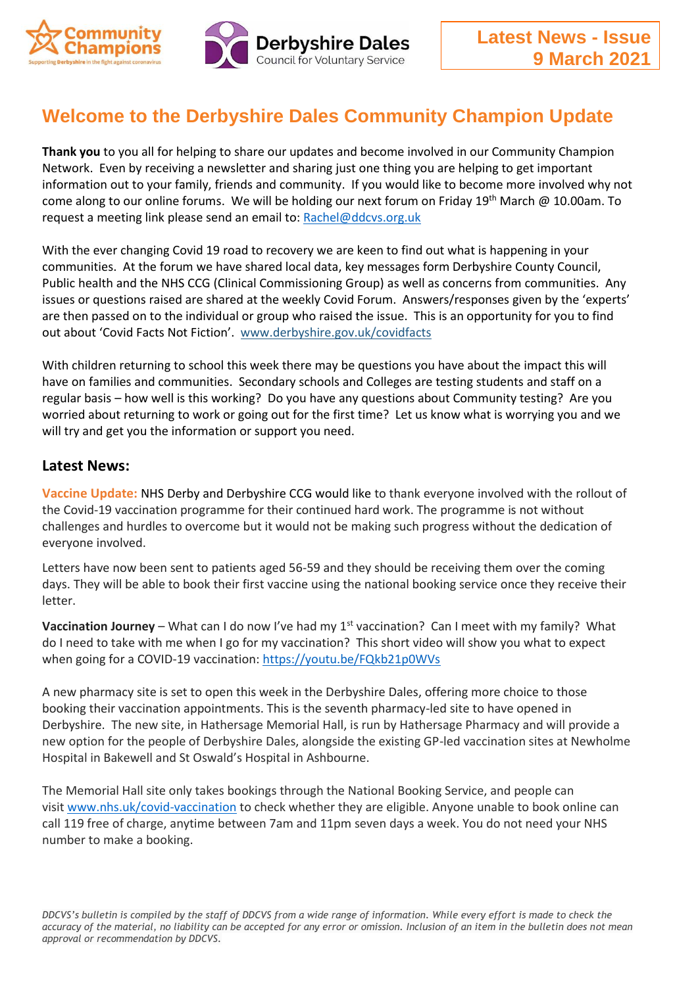



## **Welcome to the Derbyshire Dales Community Champion Update**

**Thank you** to you all for helping to share our updates and become involved in our Community Champion Network. Even by receiving a newsletter and sharing just one thing you are helping to get important information out to your family, friends and community. If you would like to become more involved why not come along to our online forums. We will be holding our next forum on Friday 19<sup>th</sup> March @ 10.00am. To request a meeting link please send an email to[: Rachel@ddcvs.org.uk](mailto:Rachel@ddcvs.org.uk) 

With the ever changing Covid 19 road to recovery we are keen to find out what is happening in your communities. At the forum we have shared local data, key messages form Derbyshire County Council, Public health and the NHS CCG (Clinical Commissioning Group) as well as concerns from communities. Any issues or questions raised are shared at the weekly Covid Forum. Answers/responses given by the 'experts' are then passed on to the individual or group who raised the issue. This is an opportunity for you to find out about 'Covid Facts Not Fiction'. [www.derbyshire.gov.uk/covidfacts](https://lnks.gd/l/eyJhbGciOiJIUzI1NiJ9.eyJidWxsZXRpbl9saW5rX2lkIjoxMDUsInVyaSI6ImJwMjpjbGljayIsImJ1bGxldGluX2lkIjoiMjAyMTAyMjIuMzU2NTI5NjEiLCJ1cmwiOiJodHRwOi8vd3d3LmRlcmJ5c2hpcmUuZ292LnVrL2NvdmlkZmFjdHMifQ.LygyXPLh9hd-aZbiCfjlkV9OKjDcJH5DNjMniMMgACA/s/276198993/br/98158662773-l)

With children returning to school this week there may be questions you have about the impact this will have on families and communities. Secondary schools and Colleges are testing students and staff on a regular basis – how well is this working? Do you have any questions about Community testing? Are you worried about returning to work or going out for the first time? Let us know what is worrying you and we will try and get you the information or support you need.

## **Latest News:**

**Vaccine Update:** NHS Derby and Derbyshire CCG would like to thank everyone involved with the rollout of the Covid-19 vaccination programme for their continued hard work. The programme is not without challenges and hurdles to overcome but it would not be making such progress without the dedication of everyone involved.

Letters have now been sent to patients aged 56-59 and they should be receiving them over the coming days. They will be able to book their first vaccine using the national booking service once they receive their letter.

**Vaccination Journey** – What can I do now I've had my 1<sup>st</sup> vaccination? Can I meet with my family? What do I need to take with me when I go for my vaccination? This short video will show you what to expect when going for a COVID-19 vaccination:<https://youtu.be/FQkb21p0WVs>

A new pharmacy site is set to open this week in the Derbyshire Dales, offering more choice to those booking their vaccination appointments. This is the seventh pharmacy-led site to have opened in Derbyshire. The new site, in Hathersage Memorial Hall, is run by Hathersage Pharmacy and will provide a new option for the people of Derbyshire Dales, alongside the existing GP-led vaccination sites at Newholme Hospital in Bakewell and St Oswald's Hospital in Ashbourne.

The Memorial Hall site only takes bookings through the National Booking Service, and people can visit [www.nhs.uk/covid-vaccination](https://www.nhs.uk/covid-vaccination) to check whether they are eligible. Anyone unable to book online can call 119 free of charge, anytime between 7am and 11pm seven days a week. You do not need your NHS number to make a booking.